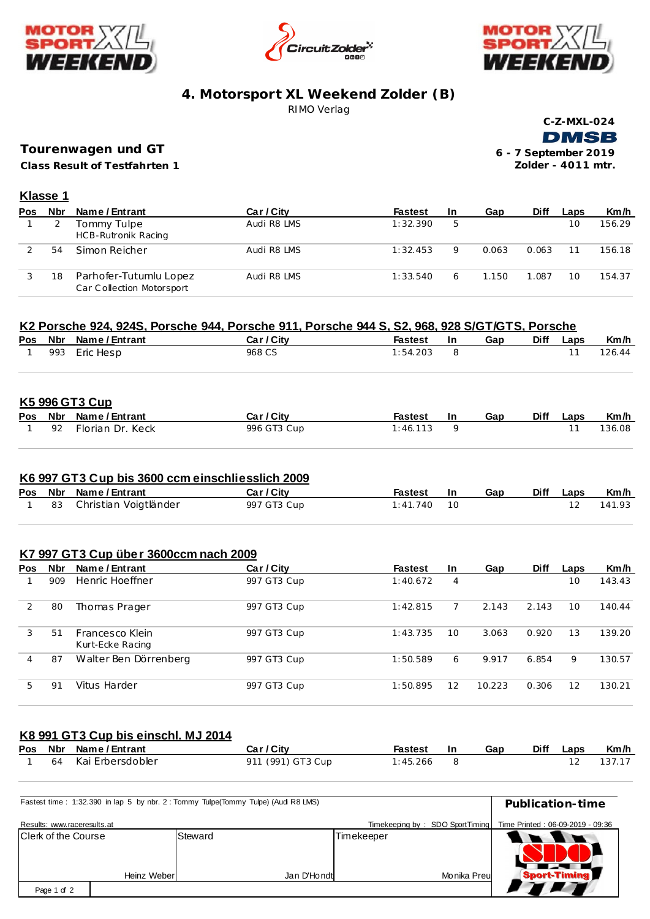





## **4. Motorsport XL Weekend Zolder (B)** RIMO Verlag

 **C-Z-MXL-024 DMSB** 

**Class Result of Testfahrten 1 Tourenwagen und GT**

**6 - 7 September 2019 Zolder - 4011 mtr.**

## **Klasse 1**

| Pos | <b>Nbr</b> | Name / Entrant                                      | Car / City  | <b>Fastest</b> | -In | Gap   | <b>Diff</b> | Laps | Km/h   |
|-----|------------|-----------------------------------------------------|-------------|----------------|-----|-------|-------------|------|--------|
|     |            | Tommy Tulpe<br><b>HCB-Rutronik Racing</b>           | Audi R8 LMS | 1:32.390       | 5   |       |             | 10   | 156.29 |
|     | 54         | Simon Reicher                                       | Audi R8 LMS | 1:32.453       | Q   | 0.063 | 0.063       |      | 156.18 |
|     | 18         | Parhofer-Tutumlu Lopez<br>Car Collection Motorsport | Audi R8 LMS | 1:33.540       | 6   | 1.150 | 1.087       | 10   | 154.37 |

#### **K2 Porsche 924, 924S, Porsche 944, Porsche 911, Porsche 944 S, S2, 968, 928 S/GT/GTS, Porsche**

|  | Pos Nbr Name/Entrant | Car / City | Fastest  | <b>In</b> | Gap | Diff | Laps | Km/h   |
|--|----------------------|------------|----------|-----------|-----|------|------|--------|
|  | 1 993 Eric Hesp      | 968 CS     | 1:54.203 |           |     |      |      | 126.44 |

#### **K5 996 GT3 Cup**

|  | Pos Nbr Name/Entrant  | Car / City  | Fastest  | - In | Gap | Diff Laps | Km/h   |
|--|-----------------------|-------------|----------|------|-----|-----------|--------|
|  | l 92 Florian Dr. Keck | 996 GT3 Cup | 1:46.113 |      |     |           | 136.08 |

#### **K6 997 GT3 Cup bis 3600 ccm einschliesslich 2009**

|  | Pos Nbr Name/Entrant     | Car / City  | Fastest In    | Gap | Diff Laps | Km/h      |
|--|--------------------------|-------------|---------------|-----|-----------|-----------|
|  | 83 Christian Voigtländer | 997 GT3 Cup | $1:41.740$ 10 |     |           | 12 141.93 |

#### **K7 997 GT3 Cup über 3600ccm nach 2009**

| <b>Pos</b> | Nbr | Name / Entrant                      | Car / City  | <b>Fastest</b> | <b>In</b> | Gap    | <b>Diff</b> | Laps | Km/h   |
|------------|-----|-------------------------------------|-------------|----------------|-----------|--------|-------------|------|--------|
|            | 909 | Henric Hoeffner                     | 997 GT3 Cup | 1:40.672       | 4         |        |             | 10   | 143.43 |
|            | 80  | Thomas Prager                       | 997 GT3 Cup | 1:42.815       |           | 2.143  | 2.143       | 10   | 140.44 |
| 3          | 51  | Francesco Klein<br>Kurt-Ecke Racing | 997 GT3 Cup | 1:43.735       | 10        | 3.063  | 0.920       | 13   | 139.20 |
| 4          | 87  | Walter Ben Dörrenberg               | 997 GT3 Cup | 1:50.589       | 6         | 9.917  | 6.854       | 9    | 130.57 |
| 5          | 91  | Vitus Harder                        | 997 GT3 Cup | 1:50.895       | 12        | 10.223 | 0.306       | 12   | 130.21 |

# **K8 991 GT3 Cup bis einschl. MJ 2014**

|  | Pos Nbr Name/Entrant  | Car / City        | Fastest In | Gap | Diff Laps | Km/h      |
|--|-----------------------|-------------------|------------|-----|-----------|-----------|
|  | 1 64 Kai Erbersdobler | 911 (991) GT3 Cup | 1:45.266   |     |           | 12 137.17 |

| Fastest time: 1:32.390 in lap 5 by nbr. 2: Tommy Tulpe(Tommy Tulpe) (Audi R8 LMS) |                        | Publication-time |                                 |                                  |
|-----------------------------------------------------------------------------------|------------------------|------------------|---------------------------------|----------------------------------|
| Results: www.raceresults.at                                                       |                        |                  | Timekeeping by: SDO SportTiming | Time Printed: 06-09-2019 - 09:36 |
| Clerk of the Course<br>Heinz Weberl                                               | Steward<br>Jan D'Hondt | Timekeeper       | Monika Preul                    | <b>Sport-Timing</b>              |
|                                                                                   |                        |                  |                                 |                                  |
| Page 1 of 2                                                                       |                        |                  |                                 |                                  |